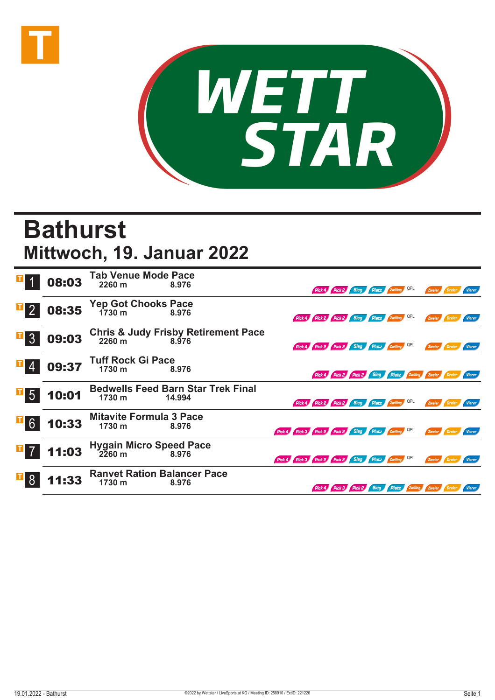



## **Bathurst Mittwoch, 19. Januar 2022**

|                  | 08:03 | <b>Tab Venue Mode Pace</b><br>2260 m         | 8.976                                                  |                                                     | Pick 4 Pick 2 Sieg Platz Zwilling QPL        |  |  | Zweier                                                 |        |               |
|------------------|-------|----------------------------------------------|--------------------------------------------------------|-----------------------------------------------------|----------------------------------------------|--|--|--------------------------------------------------------|--------|---------------|
| $\mathbb{F}_{2}$ | 08:35 | Yep Got Chooks Pace<br>1730 m 8.976          |                                                        |                                                     | Pick 4 Pick 2 Pick 2 Sieg Platz Zwilling QPL |  |  | Zweier                                                 |        | <b>Vierer</b> |
| $\overline{3}$   | 09:03 |                                              | Chris & Judy Frisby Retirement Pace<br>2260 m<br>8.976 |                                                     | Pick 4 Pick 2 Pick 2 Sieg Platz Zwilling QPL |  |  | Zweier                                                 |        | Vierer        |
|                  | 09:37 | <b>Tuff Rock Gi Pace</b><br>1730 m           | 8.976                                                  |                                                     |                                              |  |  | Pick 4 Pick 2 Pick 2 Sieg Platz Zwilling Zweier Dreier |        | Vierer        |
| $\mathbf{F}$ 5   | 10:01 | 1730 m                                       | <b>Bedwells Feed Barn Star Trek Final</b><br>14.994    |                                                     | Pick 4 Pick 2 Pick 2 Sieg Platz Zwilling QPL |  |  | Zweier                                                 |        |               |
| <b>F</b> 6       | 10:33 | <b>Mitavite Formula 3 Pace</b><br>1730 m     | 8.976                                                  | Pick 4 Pick 3 Pick 2 Pick 2 Sieg Platz Zwilling QPL |                                              |  |  | Zweier                                                 |        | <b>Vierer</b> |
| $\mathbf{F}$ 7   | 11:03 | Hygain Micro Speed Pace<br>2260 m<br>8.976   |                                                        | Pick 4 Pick 3 Pick 2 Pick 2 Sieg Platz Zwilling QPL |                                              |  |  | Zweier                                                 | Dreier | Vierer        |
|                  | 11:33 | <b>Ranvet Ration Balancer Pace</b><br>1730 m | 8.976                                                  |                                                     |                                              |  |  | Pick 4 Pick 3 Pick 2 Sieg Platz Zwilling Zweier Dreier |        | Vierer        |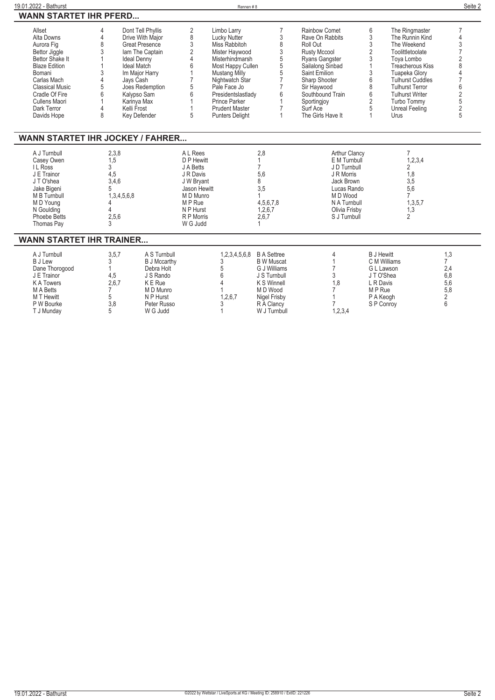| 19.01.2022 - Bathurst                                                                                                                                                                                       |                                                                                                                                                            |                                                                                                                                 |                                                                                                                                               | Rennen#8                                                                                                                                                                                                                                                           |                                                                                                                                                  |                                                                                                                                                                                                                                       |                                                     |                                                                                                                                                                                                                                                        | Seite 2                                                                                                              |
|-------------------------------------------------------------------------------------------------------------------------------------------------------------------------------------------------------------|------------------------------------------------------------------------------------------------------------------------------------------------------------|---------------------------------------------------------------------------------------------------------------------------------|-----------------------------------------------------------------------------------------------------------------------------------------------|--------------------------------------------------------------------------------------------------------------------------------------------------------------------------------------------------------------------------------------------------------------------|--------------------------------------------------------------------------------------------------------------------------------------------------|---------------------------------------------------------------------------------------------------------------------------------------------------------------------------------------------------------------------------------------|-----------------------------------------------------|--------------------------------------------------------------------------------------------------------------------------------------------------------------------------------------------------------------------------------------------------------|----------------------------------------------------------------------------------------------------------------------|
| <b>WANN STARTET IHR PFERD</b>                                                                                                                                                                               |                                                                                                                                                            |                                                                                                                                 |                                                                                                                                               |                                                                                                                                                                                                                                                                    |                                                                                                                                                  |                                                                                                                                                                                                                                       |                                                     |                                                                                                                                                                                                                                                        |                                                                                                                      |
| Allset<br>Alta Downs<br>Aurora Fig<br>Bettor Jiggle<br>Bettor Shake It<br><b>Blaze Edition</b><br>Bomani<br>Carlas Mach<br>Classical Music<br>Cradle Of Fire<br>Cullens Maori<br>Dark Terror<br>Davids Hope | 4<br>4<br>8<br>3<br><b>Ideal Denny</b><br>Ideal Match<br>3<br>$\overline{4}$<br>Javs Cash<br>5<br>6<br>Kalypso Sam<br>Karinya Max<br>4<br>Kelli Frost<br>8 | Dont Tell Phyllis<br>Drive With Major<br>Great Presence<br>lam The Captain<br>Im Major Harry<br>Joes Redemption<br>Key Defender | $\overline{\mathbf{c}}$<br>8<br>3<br>$\sqrt{2}$<br>$\Delta$<br>6<br>5<br>6<br>5                                                               | Limbo Larry<br>Lucky Nutter<br>Miss Rabbitoh<br>Mister Haywood<br>Misterhindmarsh<br>Most Happy Cullen<br><b>Mustang Milly</b><br>Nightwatch Star<br>Pale Face Jo<br>Presidentslastladv<br><b>Prince Parker</b><br><b>Prudent Master</b><br><b>Punters Delight</b> | $\overline{7}$<br>3<br>8<br>3<br>5<br>5<br>5<br>$\overline{7}$<br>7<br>6<br>$\mathbf{1}$<br>7<br>$\mathbf{1}$                                    | <b>Rainbow Comet</b><br>Rave On Rabbits<br>Roll Out<br><b>Rusty Mccool</b><br>Rvans Gangster<br>Sailalong Sinbad<br>Saint Emilion<br>Sharp Shooter<br>Sir Havwood<br>Southbound Train<br>Sportingjoy<br>Surf Ace<br>The Girls Have It | 6<br>3<br>3<br>2<br>3<br>3<br>6<br>8<br>6<br>2<br>5 | The Ringmaster<br>The Runnin Kind<br>The Weekend<br>Toolittletoolate<br>Tova Lombo<br>Treacherous Kiss<br>Tuapeka Glory<br><b>Tulhurst Cuddles</b><br><b>Tulhurst Terror</b><br><b>Tulhurst Writer</b><br>Turbo Tommy<br><b>Unreal Feeling</b><br>Urus | $\overline{7}$<br>4<br>3<br>$\overline{7}$<br>$\overline{2}$<br>8<br>6<br>$\overline{2}$<br>5<br>$\overline{2}$<br>5 |
| <b>WANN STARTET IHR JOCKEY / FAHRER</b>                                                                                                                                                                     |                                                                                                                                                            |                                                                                                                                 |                                                                                                                                               |                                                                                                                                                                                                                                                                    |                                                                                                                                                  |                                                                                                                                                                                                                                       |                                                     |                                                                                                                                                                                                                                                        |                                                                                                                      |
| A J Turnbull<br>Casey Owen<br><b>IL</b> Ross<br>J E Trainor<br>JT O'shea<br>Jake Bigeni<br>M B Turnbull<br>M D Young<br>N Goulding<br>Phoebe Betts<br>Thomas Pay                                            | 2,3,8<br>1,5<br>$\overline{3}$<br>4.5<br>3.4.6<br>5<br>1,3,4,5,6,8<br>4<br>$\overline{4}$<br>2.5.6<br>3                                                    |                                                                                                                                 | A L Rees<br>D P Hewitt<br>J A Betts<br>J R Davis<br>J W Brvant<br>Jason Hewitt<br>M D Munro<br>M P Rue<br>N P Hurst<br>R P Morris<br>W G Judd |                                                                                                                                                                                                                                                                    | 2,8<br>$\mathbf{1}$<br>$\overline{7}$<br>5,6<br>8<br>3,5<br>$\mathbf{1}$<br>4,5,6,7,8<br>1,2,6,7<br>2,6,7<br>$\mathbf{1}$                        | E M Turnbull<br>J D Turnbull<br>J R Morris<br>Jack Brown<br>Lucas Rando<br>M D Wood<br>N A Turnbull<br>Olivia Frisby<br>S J Turnbull                                                                                                  | <b>Arthur Clancy</b>                                | 7<br>1, 2, 3, 4<br>2<br>1,8<br>3,5<br>5,6<br>$\overline{7}$<br>1,3,5,7<br>1,3<br>$\mathfrak{D}$                                                                                                                                                        |                                                                                                                      |
| <b>WANN STARTET IHR TRAINER</b>                                                                                                                                                                             |                                                                                                                                                            |                                                                                                                                 |                                                                                                                                               |                                                                                                                                                                                                                                                                    |                                                                                                                                                  |                                                                                                                                                                                                                                       |                                                     |                                                                                                                                                                                                                                                        |                                                                                                                      |
| A J Turnbull<br><b>BJLew</b><br>Dane Thorogood<br>J E Trainor<br><b>KATowers</b><br>M A Betts<br>M T Hewitt<br>P W Bourke<br>T J Munday                                                                     | 3,5,7<br>3<br>$\mathbf{1}$<br>4.5<br>2.6.7<br>7<br>5<br>3,8<br>5                                                                                           | A S Turnbull<br><b>B J Mccarthy</b><br>Debra Holt<br>J S Rando<br>K E Rue<br>M D Munro<br>N P Hurst<br>Peter Russo<br>W G Judd  |                                                                                                                                               | 1,2,3,4,5,6,8<br>3<br>5<br>6<br>$\Lambda$<br>1,2,6,7<br>3<br>1                                                                                                                                                                                                     | <b>B A Settree</b><br><b>B</b> W Muscat<br>G J Williams<br>J S Turnbull<br>K S Winnell<br>M D Wood<br>Nigel Frisby<br>R A Clancy<br>W J Turnbull | 4<br>1<br>7<br>3<br>1.8<br>7<br>1,2,3,4                                                                                                                                                                                               |                                                     | <b>B</b> J Hewitt<br>C M Williams<br>G L Lawson<br>JT O'Shea<br>L R Davis<br>M P Rue<br>P A Keogh<br>S P Conroy                                                                                                                                        | 1,3<br>$\overline{7}$<br>2,4<br>6,8<br>5,6<br>5,8<br>2<br>6                                                          |

l.

l.

L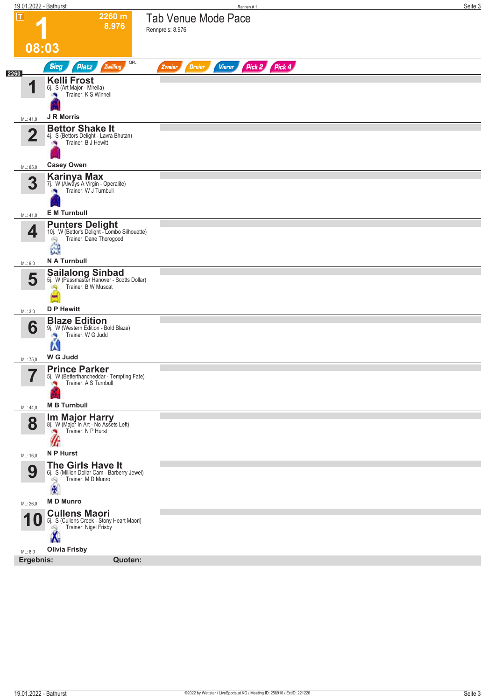| 19.01.2022 - Bathurst         |                                                                                                             | Seite 3<br>Rennen#1                                              |
|-------------------------------|-------------------------------------------------------------------------------------------------------------|------------------------------------------------------------------|
| $\mathbf \Pi$                 | 2260 m<br>8.976                                                                                             | <b>Tab Venue Mode Pace</b><br>Rennpreis: 8.976                   |
| 08:03                         |                                                                                                             |                                                                  |
| 2260                          | QPL<br><b>Sieg</b><br><b>Platz</b><br>Zwilling                                                              | Pick 2 Pick 4<br><b>Dreier</b><br><b>Vierer</b><br><b>Zweier</b> |
|                               | <b>Kelli Frost</b><br>6j. S (Art Major - Mirella)<br>Trainer: K S Winnell<br>a.                             |                                                                  |
| ML: 41,0                      | <b>J R Morris</b>                                                                                           |                                                                  |
| $\overline{2}$                | <b>Bettor Shake It</b><br>4j. S (Bettors Delight - Lavra Bhutan)<br>Trainer: B J Hewitt                     |                                                                  |
| ML: 85,0                      | <b>Casey Owen</b>                                                                                           |                                                                  |
| 3                             | <b>Karinya Max</b><br>7j. W (Always A Virgin - Operalite)<br>Trainer: W J Turnbull<br>×                     |                                                                  |
| ML: 41,0                      | <b>E</b> M Turnbull                                                                                         |                                                                  |
| 4                             | <b>Punters Delight</b><br>10j. W (Bettor's Delight - Lombo Silhouette)<br>Trainer: Dane Thorogood<br>å      |                                                                  |
| ML: 9,0                       | N A Turnbull                                                                                                |                                                                  |
| 5                             | <b>Sailalong Sinbad</b><br>5j. W (Passmaster Hanover - Scotts Dollar)<br>Trainer: B W Muscat<br>CN.         |                                                                  |
| ML: 3,0                       | <b>D P Hewitt</b>                                                                                           |                                                                  |
| 6                             | <b>Blaze Edition</b><br>9j. W (Western Edition - Bold Blaze)<br>Trainer: W G Judd<br>×<br>W<br>W G Judd     |                                                                  |
| ML: 75,0                      | <b>Prince Parker</b>                                                                                        |                                                                  |
| $\overline{\phantom{a}}$<br>ı | 5j. W (Betterthancheddar - Tempting Fate)<br>Trainer: A S Turnbull                                          |                                                                  |
| ML: 44,0                      | <b>M B Turnbull</b>                                                                                         |                                                                  |
| 8                             | <b>Im Major Harry</b><br>8j. W (Major In Art - No Assets Left)<br>Trainer: N P Hurst<br>⊮                   |                                                                  |
| ML: 16,0                      | N P Hurst                                                                                                   |                                                                  |
| 9                             | The Girls Have It<br>6j. S (Million Dollar Cam - Barberry Jewel)<br>Trainer: M D Munro<br>$\mathbb{Q}$<br>廣 |                                                                  |
|                               | <b>MD Munro</b>                                                                                             |                                                                  |
| ML: 26,0                      | <b>Cullens Maori</b>                                                                                        |                                                                  |
| <b>10</b>                     | 5j. S (Cullens Creek - Stony Heart Maori)<br>Trainer: Nigel Frisby<br>Q<br>Ιм                               |                                                                  |
| ML: 8,0                       | <b>Olivia Frisby</b>                                                                                        |                                                                  |
| Ergebnis:                     | Quoten:                                                                                                     |                                                                  |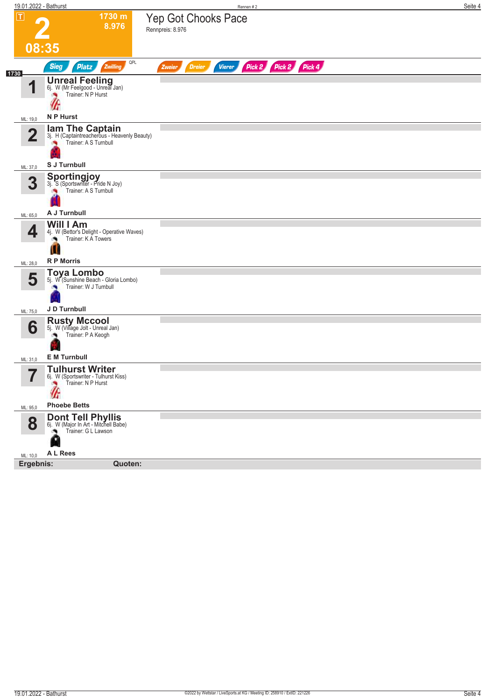| 1730 m<br><b>Yep Got Chooks Pace</b><br>8.976<br>Rennpreis: 8.976<br>08:35<br>QPL<br>Pick 2 Pick 2 Pick 4<br><b>Sieg</b><br><b>Platz</b><br>Zwilling<br><b>Vierer</b><br><b>Dreier</b><br>Zweier<br><b>Unreal Feeling</b><br>6j. W (Mr Feelgood - Unreal Jan)<br>И<br>Trainer: N P Hurst<br>N P Hurst<br><b>lam The Captain</b><br>3j. H (Captaintreacherous - Heavenly Beauty)<br>$\overline{2}$<br>Trainer: A S Turnbull<br>S J Turnbull<br><b>Sportingjoy</b><br>3j. S (Sportswriter - Pride N Joy)<br>3<br>Trainer: A S Turnbull<br>A J Turnbull<br>Will I Am<br>4<br>4j. W (Bettor's Delight - Operative Waves)<br>Trainer: K A Towers<br>U<br><b>R P Morris</b><br><b>Toya Lombo</b><br>5<br>5j. W (Sunshine Beach - Gloria Lombo)<br>Trainer: W J Turnbull<br>J D Turnbull<br><b>Rusty Mccool</b><br>5j. W (Village Jolt - Unreal Jan)<br>6<br>Trainer: P A Keogh<br><b>E</b> M Turnbull<br>ML: 31,0<br><b>Tulhurst Writer</b><br>7<br>6j. W (Sportswriter - Tulhurst Kiss)<br>ı<br>Trainer: N P Hurst<br><b>Phoebe Betts</b><br><b>Dont Tell Phyllis</b><br>6j. W (Major In Art - Mitchell Babe)<br>8<br>Trainer: G L Lawson<br>٠<br>N<br>A L Rees<br>Ergebnis:<br>Quoten: |                         | 19.01.2022 - Bathurst | Rennen #2 | Seite 4 |
|------------------------------------------------------------------------------------------------------------------------------------------------------------------------------------------------------------------------------------------------------------------------------------------------------------------------------------------------------------------------------------------------------------------------------------------------------------------------------------------------------------------------------------------------------------------------------------------------------------------------------------------------------------------------------------------------------------------------------------------------------------------------------------------------------------------------------------------------------------------------------------------------------------------------------------------------------------------------------------------------------------------------------------------------------------------------------------------------------------------------------------------------------------------------------------|-------------------------|-----------------------|-----------|---------|
|                                                                                                                                                                                                                                                                                                                                                                                                                                                                                                                                                                                                                                                                                                                                                                                                                                                                                                                                                                                                                                                                                                                                                                                    | $\overline{\mathbf{r}}$ |                       |           |         |
|                                                                                                                                                                                                                                                                                                                                                                                                                                                                                                                                                                                                                                                                                                                                                                                                                                                                                                                                                                                                                                                                                                                                                                                    |                         |                       |           |         |
|                                                                                                                                                                                                                                                                                                                                                                                                                                                                                                                                                                                                                                                                                                                                                                                                                                                                                                                                                                                                                                                                                                                                                                                    | 1730                    |                       |           |         |
|                                                                                                                                                                                                                                                                                                                                                                                                                                                                                                                                                                                                                                                                                                                                                                                                                                                                                                                                                                                                                                                                                                                                                                                    |                         |                       |           |         |
|                                                                                                                                                                                                                                                                                                                                                                                                                                                                                                                                                                                                                                                                                                                                                                                                                                                                                                                                                                                                                                                                                                                                                                                    | ML: 19,0                |                       |           |         |
|                                                                                                                                                                                                                                                                                                                                                                                                                                                                                                                                                                                                                                                                                                                                                                                                                                                                                                                                                                                                                                                                                                                                                                                    |                         |                       |           |         |
|                                                                                                                                                                                                                                                                                                                                                                                                                                                                                                                                                                                                                                                                                                                                                                                                                                                                                                                                                                                                                                                                                                                                                                                    | ML: 37,0                |                       |           |         |
|                                                                                                                                                                                                                                                                                                                                                                                                                                                                                                                                                                                                                                                                                                                                                                                                                                                                                                                                                                                                                                                                                                                                                                                    |                         |                       |           |         |
|                                                                                                                                                                                                                                                                                                                                                                                                                                                                                                                                                                                                                                                                                                                                                                                                                                                                                                                                                                                                                                                                                                                                                                                    | ML: 65,0                |                       |           |         |
|                                                                                                                                                                                                                                                                                                                                                                                                                                                                                                                                                                                                                                                                                                                                                                                                                                                                                                                                                                                                                                                                                                                                                                                    |                         |                       |           |         |
|                                                                                                                                                                                                                                                                                                                                                                                                                                                                                                                                                                                                                                                                                                                                                                                                                                                                                                                                                                                                                                                                                                                                                                                    | ML: 28,0                |                       |           |         |
|                                                                                                                                                                                                                                                                                                                                                                                                                                                                                                                                                                                                                                                                                                                                                                                                                                                                                                                                                                                                                                                                                                                                                                                    |                         |                       |           |         |
|                                                                                                                                                                                                                                                                                                                                                                                                                                                                                                                                                                                                                                                                                                                                                                                                                                                                                                                                                                                                                                                                                                                                                                                    | ML: 75,0                |                       |           |         |
|                                                                                                                                                                                                                                                                                                                                                                                                                                                                                                                                                                                                                                                                                                                                                                                                                                                                                                                                                                                                                                                                                                                                                                                    |                         |                       |           |         |
|                                                                                                                                                                                                                                                                                                                                                                                                                                                                                                                                                                                                                                                                                                                                                                                                                                                                                                                                                                                                                                                                                                                                                                                    |                         |                       |           |         |
|                                                                                                                                                                                                                                                                                                                                                                                                                                                                                                                                                                                                                                                                                                                                                                                                                                                                                                                                                                                                                                                                                                                                                                                    |                         |                       |           |         |
|                                                                                                                                                                                                                                                                                                                                                                                                                                                                                                                                                                                                                                                                                                                                                                                                                                                                                                                                                                                                                                                                                                                                                                                    | ML: 95,0                |                       |           |         |
|                                                                                                                                                                                                                                                                                                                                                                                                                                                                                                                                                                                                                                                                                                                                                                                                                                                                                                                                                                                                                                                                                                                                                                                    |                         |                       |           |         |
|                                                                                                                                                                                                                                                                                                                                                                                                                                                                                                                                                                                                                                                                                                                                                                                                                                                                                                                                                                                                                                                                                                                                                                                    | ML: 10,0                |                       |           |         |
|                                                                                                                                                                                                                                                                                                                                                                                                                                                                                                                                                                                                                                                                                                                                                                                                                                                                                                                                                                                                                                                                                                                                                                                    |                         |                       |           |         |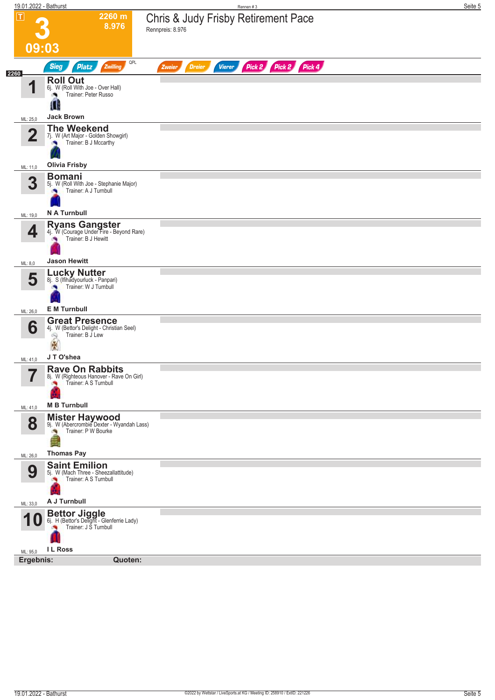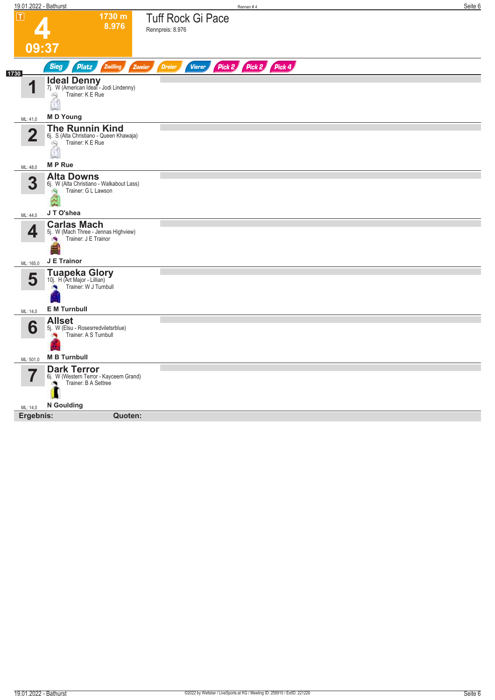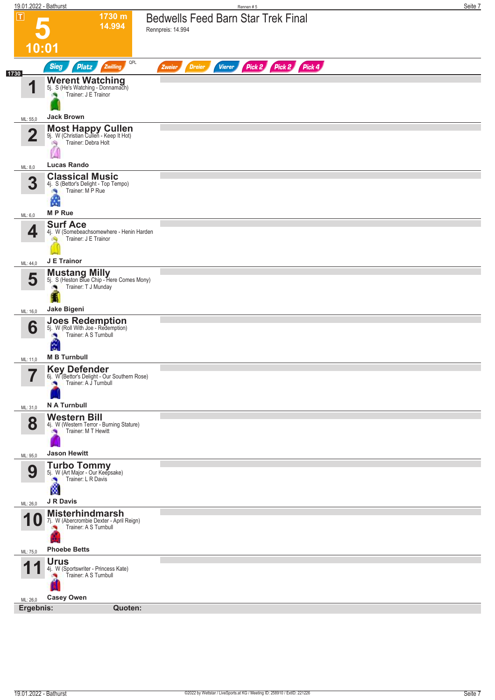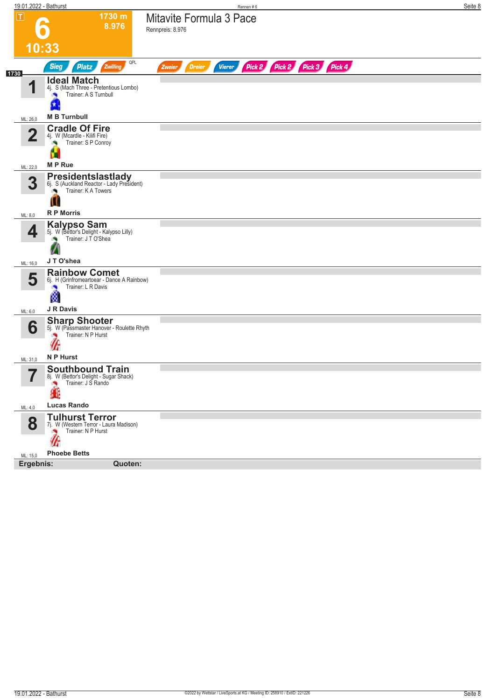|                         | 19.01.2022 - Bathurst                                                               | Rennen #6                                                               | Seite 8 |
|-------------------------|-------------------------------------------------------------------------------------|-------------------------------------------------------------------------|---------|
| $\overline{\mathbf{r}}$ | 1730 m                                                                              | Mitavite Formula 3 Pace                                                 |         |
|                         | 8.976                                                                               | Rennpreis: 8.976                                                        |         |
|                         | 10:33                                                                               |                                                                         |         |
|                         | QPL                                                                                 |                                                                         |         |
| 1730                    | Zwilling<br><b>Sieg</b><br><b>Platz</b>                                             | Pick 2 Pick 2 Pick 3 Pick 4<br><b>Dreier</b><br><b>Vierer</b><br>Zweier |         |
|                         | <b>Ideal Match</b><br>4j. S (Mach Three - Pretentious Lombo)                        |                                                                         |         |
|                         | Trainer: A S Turnbull                                                               |                                                                         |         |
|                         |                                                                                     |                                                                         |         |
| ML: 26,0                | <b>M B Turnbull</b>                                                                 |                                                                         |         |
| $\overline{\mathbf{2}}$ | <b>Cradle Of Fire</b><br>4j. W (Mcardle - Kilifi Fire)                              |                                                                         |         |
|                         | Trainer: S P Conroy                                                                 |                                                                         |         |
|                         |                                                                                     |                                                                         |         |
| ML: 22,0                | <b>MP</b> Rue                                                                       |                                                                         |         |
| 3                       | <b>Presidentslastlady</b><br>6j. S (Auckland Reactor - Lady President)              |                                                                         |         |
|                         | Trainer: K A Towers                                                                 |                                                                         |         |
|                         | ш<br><b>R P Morris</b>                                                              |                                                                         |         |
| ML: 8,0                 |                                                                                     |                                                                         |         |
| 4                       | <b>Kalypso Sam</b><br>5j. W (Bettor's Delight - Kalypso Lilly)<br>Trainer: JTO'Shea |                                                                         |         |
|                         |                                                                                     |                                                                         |         |
| ML: 16,0                | JT O'shea                                                                           |                                                                         |         |
|                         | <b>Rainbow Comet</b>                                                                |                                                                         |         |
| 5                       | 6j. H (Grinfromeartoear - Dance A Rainbow)<br>Trainer: L R Davis                    |                                                                         |         |
|                         | ø                                                                                   |                                                                         |         |
| ML: 6,0                 | J R Davis                                                                           |                                                                         |         |
|                         | <b>Sharp Shooter</b>                                                                |                                                                         |         |
| 6                       | 5j. W (Passmaster Hanover - Roulette Rhyth<br>Trainer: N P Hurst                    |                                                                         |         |
|                         | W                                                                                   |                                                                         |         |
| ML: 31,0                | N P Hurst                                                                           |                                                                         |         |
|                         | <b>Southbound Train</b><br>8j. W (Bettor's Delight - Sugar Shack)                   |                                                                         |         |
|                         | Trainer: J S Rando                                                                  |                                                                         |         |
|                         | æ                                                                                   |                                                                         |         |
| ML: 4,0                 | <b>Lucas Rando</b>                                                                  |                                                                         |         |
| 8                       | <b>Tulhurst Terror</b>                                                              |                                                                         |         |
|                         | 7j. W (Western Terror - Laura Madison)<br>Trainer: N P Hurst                        |                                                                         |         |
|                         | W                                                                                   |                                                                         |         |
| ML: 15,0                | <b>Phoebe Betts</b>                                                                 |                                                                         |         |
| Ergebnis:               | Quoten:                                                                             |                                                                         |         |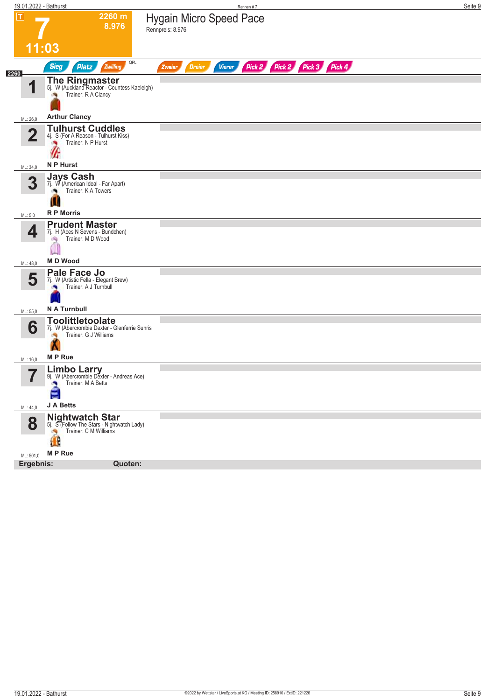| $\overline{\mathbf{r}}$<br>2260 m<br><b>Hygain Micro Speed Pace</b><br>8.976<br>Rennpreis: 8.976<br>11:03<br>QPL<br>Pick 2 Pick 2 Pick 3 Pick 4<br><b>Sieg</b><br><b>Platz</b><br>Zwilling<br><b>Vierer</b><br><b>Dreier</b><br>Zweier<br>2260<br><b>The Ringmaster</b><br>5j. W (Auckland Reactor - Countess Kaeleigh)<br>И<br>Trainer: R A Clancy<br><b>Arthur Clancy</b><br>ML: 26,0<br><b>Tulhurst Cuddles</b><br>$\overline{\mathbf{2}}$<br>4j. S (For A Reason - Tulhurst Kiss)<br>Trainer: N P Hurst<br>×<br>W<br>N P Hurst<br>ML: 34,0<br><b>Jays Cash</b><br>3<br>7j. W (American Ideal - Far Apart)<br>Trainer: K A Towers<br>ш<br><b>R P Morris</b><br>ML: 5,0<br><b>Prudent Master</b><br>4<br>7j. H (Aces N Sevens - Bundchen)<br>Trainer: M D Wood<br>đQ.<br><b>MD</b> Wood<br>ML: 48,0<br>Pale Face Jo<br>5<br>7j. W (Artistic Fella - Elegant Brew)<br>Trainer: A J Turnbull<br>N A Turnbull<br>ML: 55,0<br><b>Toolittletoolate</b><br>6<br>7j. W (Abercrombie Dexter - Glenferrie Sunris<br>Trainer: G J Williams<br><b>MP</b> Rue<br>ML: 16,0<br><b>Limbo Larry</b><br>9j. W (Abercrombie Dexter - Andreas Ace)<br>Trainer: M A Betts<br>۸<br>든<br>J A Betts<br>ML: 44,0<br><b>Nightwatch Star</b><br>8<br>5j. S (Follow The Stars - Nightwatch Lady)<br>Trainer: C M Williams<br>÷,<br>$\mathbf{H}$<br>M P Rue<br>ML: 501,0<br>Ergebnis:<br>Quoten: | 19.01.2022 - Bathurst | Rennen #7 | Seite 9 |
|------------------------------------------------------------------------------------------------------------------------------------------------------------------------------------------------------------------------------------------------------------------------------------------------------------------------------------------------------------------------------------------------------------------------------------------------------------------------------------------------------------------------------------------------------------------------------------------------------------------------------------------------------------------------------------------------------------------------------------------------------------------------------------------------------------------------------------------------------------------------------------------------------------------------------------------------------------------------------------------------------------------------------------------------------------------------------------------------------------------------------------------------------------------------------------------------------------------------------------------------------------------------------------------------------------------------------------------------------------------------|-----------------------|-----------|---------|
|                                                                                                                                                                                                                                                                                                                                                                                                                                                                                                                                                                                                                                                                                                                                                                                                                                                                                                                                                                                                                                                                                                                                                                                                                                                                                                                                                                        |                       |           |         |
|                                                                                                                                                                                                                                                                                                                                                                                                                                                                                                                                                                                                                                                                                                                                                                                                                                                                                                                                                                                                                                                                                                                                                                                                                                                                                                                                                                        |                       |           |         |
|                                                                                                                                                                                                                                                                                                                                                                                                                                                                                                                                                                                                                                                                                                                                                                                                                                                                                                                                                                                                                                                                                                                                                                                                                                                                                                                                                                        |                       |           |         |
|                                                                                                                                                                                                                                                                                                                                                                                                                                                                                                                                                                                                                                                                                                                                                                                                                                                                                                                                                                                                                                                                                                                                                                                                                                                                                                                                                                        |                       |           |         |
|                                                                                                                                                                                                                                                                                                                                                                                                                                                                                                                                                                                                                                                                                                                                                                                                                                                                                                                                                                                                                                                                                                                                                                                                                                                                                                                                                                        |                       |           |         |
|                                                                                                                                                                                                                                                                                                                                                                                                                                                                                                                                                                                                                                                                                                                                                                                                                                                                                                                                                                                                                                                                                                                                                                                                                                                                                                                                                                        |                       |           |         |
|                                                                                                                                                                                                                                                                                                                                                                                                                                                                                                                                                                                                                                                                                                                                                                                                                                                                                                                                                                                                                                                                                                                                                                                                                                                                                                                                                                        |                       |           |         |
|                                                                                                                                                                                                                                                                                                                                                                                                                                                                                                                                                                                                                                                                                                                                                                                                                                                                                                                                                                                                                                                                                                                                                                                                                                                                                                                                                                        |                       |           |         |
|                                                                                                                                                                                                                                                                                                                                                                                                                                                                                                                                                                                                                                                                                                                                                                                                                                                                                                                                                                                                                                                                                                                                                                                                                                                                                                                                                                        |                       |           |         |
|                                                                                                                                                                                                                                                                                                                                                                                                                                                                                                                                                                                                                                                                                                                                                                                                                                                                                                                                                                                                                                                                                                                                                                                                                                                                                                                                                                        |                       |           |         |
|                                                                                                                                                                                                                                                                                                                                                                                                                                                                                                                                                                                                                                                                                                                                                                                                                                                                                                                                                                                                                                                                                                                                                                                                                                                                                                                                                                        |                       |           |         |
|                                                                                                                                                                                                                                                                                                                                                                                                                                                                                                                                                                                                                                                                                                                                                                                                                                                                                                                                                                                                                                                                                                                                                                                                                                                                                                                                                                        |                       |           |         |
|                                                                                                                                                                                                                                                                                                                                                                                                                                                                                                                                                                                                                                                                                                                                                                                                                                                                                                                                                                                                                                                                                                                                                                                                                                                                                                                                                                        |                       |           |         |
|                                                                                                                                                                                                                                                                                                                                                                                                                                                                                                                                                                                                                                                                                                                                                                                                                                                                                                                                                                                                                                                                                                                                                                                                                                                                                                                                                                        |                       |           |         |
|                                                                                                                                                                                                                                                                                                                                                                                                                                                                                                                                                                                                                                                                                                                                                                                                                                                                                                                                                                                                                                                                                                                                                                                                                                                                                                                                                                        |                       |           |         |
|                                                                                                                                                                                                                                                                                                                                                                                                                                                                                                                                                                                                                                                                                                                                                                                                                                                                                                                                                                                                                                                                                                                                                                                                                                                                                                                                                                        |                       |           |         |
|                                                                                                                                                                                                                                                                                                                                                                                                                                                                                                                                                                                                                                                                                                                                                                                                                                                                                                                                                                                                                                                                                                                                                                                                                                                                                                                                                                        |                       |           |         |